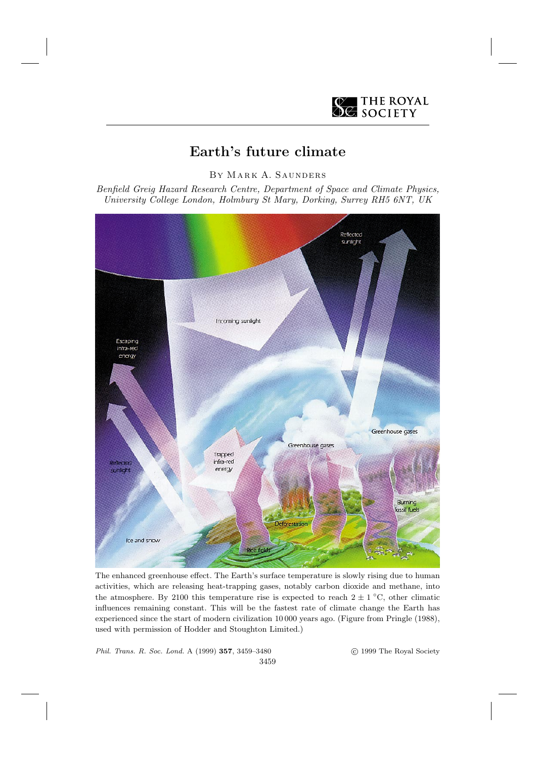

# **Earth's future climate**

BY MARK A. SAUNDERS

Benfield Greig Hazard Research Centre, Department of Space and Climate Physics, University College London, Holmbury St Mary, Dorking, Surrey RH5 6NT, UK



The enhanced greenhouse effect. The Earth's surface temperature is slowly rising due to human activities, which are releasing heat-trapping gases, notably carbon dioxide and methane, into the atmosphere. By 2100 this temperature rise is expected to reach  $2 \pm 1$  °C, other climatic influences remaining constant. This will be the fastest rate of climate change the Earth has experienced since the start of modern civilization 10 000 years ago. (Figure from Pringle (1988), used with permission of Hodder and Stoughton Limited.)

Phil. Trans. R. Soc. Lond. A (1999) **357**, 3459–3480

c 1999 The Royal Society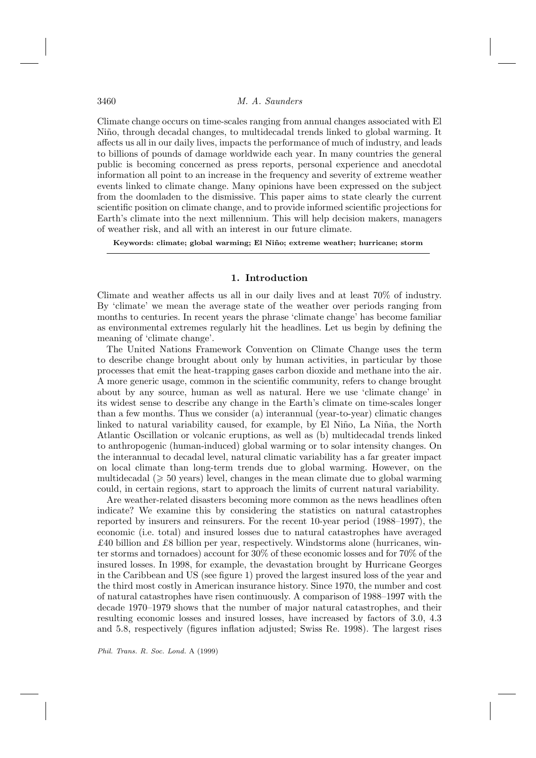Climate change occurs on time-scales ranging from annual changes associated with El Niño, through decadal changes, to multidecadal trends linked to global warming. It affects us all in our daily lives, impacts the performance of much of industry, and leads to billions of pounds of damage worldwide each year. In many countries the general public is becoming concerned as press reports, personal experience and anecdotal information all point to an increase in the frequency and severity of extreme weather events linked to climate change. Many opinions have been expressed on the subject from the doomladen to the dismissive. This paper aims to state clearly the current scientific position on climate change, and to provide informed scientific projections for Earth's climate into the next millennium. This will help decision makers, managers of weather risk, and all with an interest in our future climate.

Keywords: climate; global warming; El Niño; extreme weather; hurricane; storm

## **1. Introduction**

Climate and weather affects us all in our daily lives and at least 70% of industry. By 'climate' we mean the average state of the weather over periods ranging from months to centuries. In recent years the phrase 'climate change' has become familiar as environmental extremes regularly hit the headlines. Let us begin by defining the meaning of 'climate change'.

The United Nations Framework Convention on Climate Change uses the term to describe change brought about only by human activities, in particular by those processes that emit the heat-trapping gases carbon dioxide and methane into the air. A more generic usage, common in the scientific community, refers to change brought about by any source, human as well as natural. Here we use 'climate change' in its widest sense to describe any change in the Earth's climate on time-scales longer than a few months. Thus we consider (a) interannual (year-to-year) climatic changes linked to natural variability caused, for example, by El Niño, La Niña, the North Atlantic Oscillation or volcanic eruptions, as well as (b) multidecadal trends linked to anthropogenic (human-induced) global warming or to solar intensity changes. On the interannual to decadal level, natural climatic variability has a far greater impact on local climate than long-term trends due to global warming. However, on the multidecadal ( $\geqslant$  50 years) level, changes in the mean climate due to global warming could, in certain regions, start to approach the limits of current natural variability.

Are weather-related disasters becoming more common as the news headlines often indicate? We examine this by considering the statistics on natural catastrophes reported by insurers and reinsurers. For the recent 10-year period (1988–1997), the economic (i.e. total) and insured losses due to natural catastrophes have averaged £40 billion and £8 billion per year, respectively. Windstorms alone (hurricanes, winter storms and tornadoes) account for 30% of these economic losses and for 70% of the insured losses. In 1998, for example, the devastation brought by Hurricane Georges in the Caribbean and US (see figure 1) proved the largest insured loss of the year and the third most costly in American insurance history. Since 1970, the number and cost of natural catastrophes have risen continuously. A comparison of 1988–1997 with the decade 1970–1979 shows that the number of major natural catastrophes, and their resulting economic losses and insured losses, have increased by factors of 3.0, 4.3 and 5.8, respectively (figures inflation adjusted; Swiss Re. 1998). The largest rises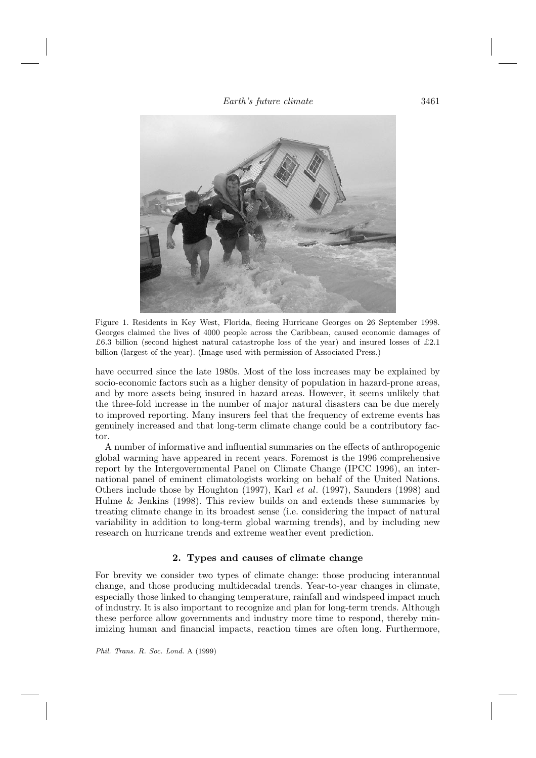

Figure 1. Residents in Key West, Florida, fleeing Hurricane Georges on 26 September 1998. Georges claimed the lives of 4000 people across the Caribbean, caused economic damages of £6.3 billion (second highest natural catastrophe loss of the year) and insured losses of £2.1 billion (largest of the year). (Image used with permission of Associated Press.)

have occurred since the late 1980s. Most of the loss increases may be explained by socio-economic factors such as a higher density of population in hazard-prone areas, and by more assets being insured in hazard areas. However, it seems unlikely that the three-fold increase in the number of major natural disasters can be due merely to improved reporting. Many insurers feel that the frequency of extreme events has genuinely increased and that long-term climate change could be a contributory factor.

A number of informative and influential summaries on the effects of anthropogenic global warming have appeared in recent years. Foremost is the 1996 comprehensive report by the Intergovernmental Panel on Climate Change (IPCC 1996), an international panel of eminent climatologists working on behalf of the United Nations. Others include those by Houghton (1997), Karl et al. (1997), Saunders (1998) and Hulme & Jenkins (1998). This review builds on and extends these summaries by treating climate change in its broadest sense (i.e. considering the impact of natural variability in addition to long-term global warming trends), and by including new research on hurricane trends and extreme weather event prediction.

## **2. Types and causes of climate change**

For brevity we consider two types of climate change: those producing interannual change, and those producing multidecadal trends. Year-to-year changes in climate, especially those linked to changing temperature, rainfall and windspeed impact much of industry. It is also important to recognize and plan for long-term trends. Although these perforce allow governments and industry more time to respond, thereby minimizing human and financial impacts, reaction times are often long. Furthermore,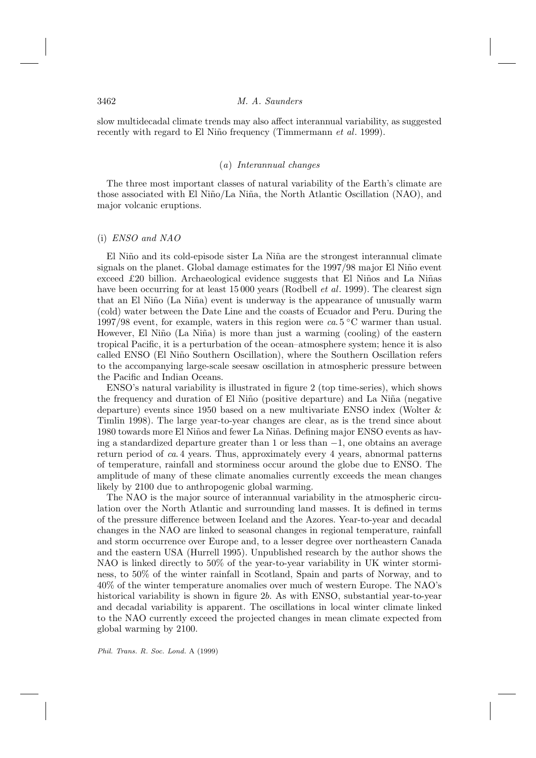slow multidecadal climate trends may also affect interannual variability, as suggested recently with regard to El Niño frequency (Timmermann et al. 1999).

## (a) Interannual changes

The three most important classes of natural variability of the Earth's climate are those associated with El Niño/La Niña, the North Atlantic Oscillation  $(NAO)$ , and major volcanic eruptions.

## (i) ENSO and NAO

El Niño and its cold-episode sister La Niña are the strongest interannual climate signals on the planet. Global damage estimates for the 1997/98 major El Niño event exceed £20 billion. Archaeological evidence suggests that El Niños and La Niñas have been occurring for at least 15 000 years (Rodbell *et al.* 1999). The clearest sign that an El Niño (La Niña) event is underway is the appearance of unusually warm (cold) water between the Date Line and the coasts of Ecuador and Peru. During the 1997/98 event, for example, waters in this region were ca. 5 ◦C warmer than usual. However, El Niño (La Niña) is more than just a warming (cooling) of the eastern tropical Pacific, it is a perturbation of the ocean–atmosphere system; hence it is also called ENSO (El Niño Southern Oscillation), where the Southern Oscillation refers to the accompanying large-scale seesaw oscillation in atmospheric pressure between the Pacific and Indian Oceans.

ENSO's natural variability is illustrated in figure 2 (top time-series), which shows the frequency and duration of El Niño (positive departure) and La Niña (negative departure) events since 1950 based on a new multivariate ENSO index (Wolter & Timlin 1998). The large year-to-year changes are clear, as is the trend since about 1980 towards more El Niños and fewer La Niñas. Defining major ENSO events as having a standardized departure greater than 1 or less than −1, one obtains an average return period of ca. 4 years. Thus, approximately every 4 years, abnormal patterns of temperature, rainfall and storminess occur around the globe due to ENSO. The amplitude of many of these climate anomalies currently exceeds the mean changes likely by 2100 due to anthropogenic global warming.

The NAO is the major source of interannual variability in the atmospheric circulation over the North Atlantic and surrounding land masses. It is defined in terms of the pressure difference between Iceland and the Azores. Year-to-year and decadal changes in the NAO are linked to seasonal changes in regional temperature, rainfall and storm occurrence over Europe and, to a lesser degree over northeastern Canada and the eastern USA (Hurrell 1995). Unpublished research by the author shows the NAO is linked directly to 50% of the year-to-year variability in UK winter storminess, to 50% of the winter rainfall in Scotland, Spain and parts of Norway, and to 40% of the winter temperature anomalies over much of western Europe. The NAO's historical variability is shown in figure 2b. As with ENSO, substantial year-to-year and decadal variability is apparent. The oscillations in local winter climate linked to the NAO currently exceed the projected changes in mean climate expected from global warming by 2100.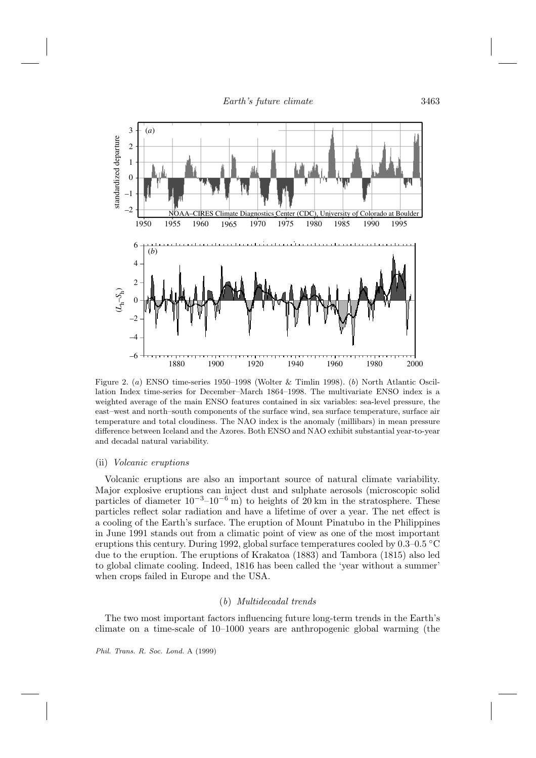

Figure 2. (a) ENSO time-series 1950–1998 (Wolter & Timlin 1998). (b) North Atlantic Oscillation Index time-series for December–March 1864–1998. The multivariate ENSO index is a weighted average of the main ENSO features contained in six variables: sea-level pressure, the east–west and north–south components of the surface wind, sea surface temperature, surface air temperature and total cloudiness. The NAO index is the anomaly (millibars) in mean pressure difference between Iceland and the Azores. Both ENSO and NAO exhibit substantial year-to-year and decadal natural variability.

### (ii) Volcanic eruptions

Volcanic eruptions are also an important source of natural climate variability. Major explosive eruptions can inject dust and sulphate aerosols (microscopic solid particles of diameter  $10^{-3}$ – $10^{-6}$  m) to heights of 20 km in the stratosphere. These particles reflect solar radiation and have a lifetime of over a year. The net effect is a cooling of the Earth's surface. The eruption of Mount Pinatubo in the Philippines in June 1991 stands out from a climatic point of view as one of the most important eruptions this century. During 1992, global surface temperatures cooled by 0.3–0.5 ◦C due to the eruption. The eruptions of Krakatoa (1883) and Tambora (1815) also led to global climate cooling. Indeed, 1816 has been called the 'year without a summer' when crops failed in Europe and the USA.

## (b) Multidecadal trends

The two most important factors influencing future long-term trends in the Earth's climate on a time-scale of 10–1000 years are anthropogenic global warming (the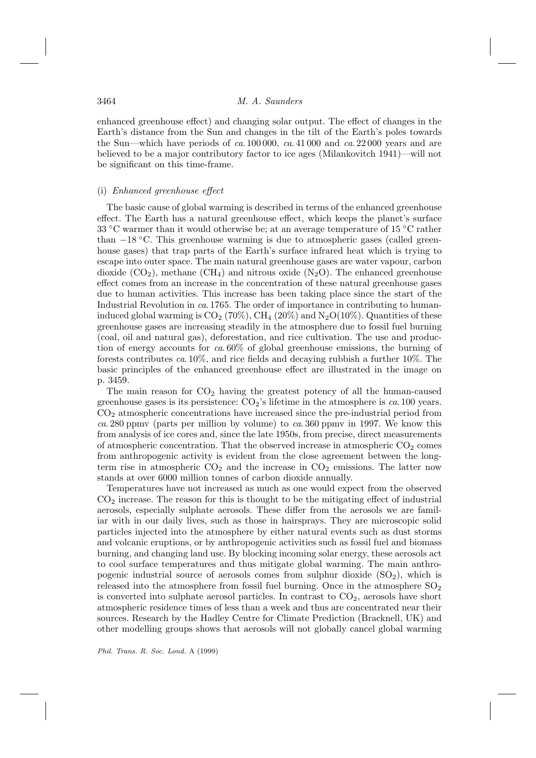enhanced greenhouse effect) and changing solar output. The effect of changes in the Earth's distance from the Sun and changes in the tilt of the Earth's poles towards the Sun—which have periods of  $ca. 100000$ ,  $ca. 41000$  and  $ca. 22000$  years and are believed to be a major contributory factor to ice ages (Milankovitch 1941)—will not be significant on this time-frame.

## (i) Enhanced greenhouse effect

The basic cause of global warming is described in terms of the enhanced greenhouse effect. The Earth has a natural greenhouse effect, which keeps the planet's surface 33 ◦C warmer than it would otherwise be; at an average temperature of 15 ◦C rather than  $-18$  °C. This greenhouse warming is due to atmospheric gases (called greenhouse gases) that trap parts of the Earth's surface infrared heat which is trying to escape into outer space. The main natural greenhouse gases are water vapour, carbon dioxide  $(CO_2)$ , methane  $(CH_4)$  and nitrous oxide  $(N_2O)$ . The enhanced greenhouse effect comes from an increase in the concentration of these natural greenhouse gases due to human activities. This increase has been taking place since the start of the Industrial Revolution in ca. 1765. The order of importance in contributing to humaninduced global warming is  $CO<sub>2</sub> (70%)$ ,  $CH<sub>4</sub> (20%)$  and  $N<sub>2</sub>O(10%)$ . Quantities of these greenhouse gases are increasing steadily in the atmosphere due to fossil fuel burning (coal, oil and natural gas), deforestation, and rice cultivation. The use and production of energy accounts for ca. 60% of global greenhouse emissions, the burning of forests contributes ca. 10%, and rice fields and decaying rubbish a further 10%. The basic principles of the enhanced greenhouse effect are illustrated in the image on p. 3459.

The main reason for  $CO<sub>2</sub>$  having the greatest potency of all the human-caused greenhouse gases is its persistence:  $CO<sub>2</sub>$ 's lifetime in the atmosphere is ca. 100 years.  $CO<sub>2</sub>$  atmospheric concentrations have increased since the pre-industrial period from ca. 280 ppmv (parts per million by volume) to ca. 360 ppmv in 1997. We know this from analysis of ice cores and, since the late 1950s, from precise, direct measurements of atmospheric concentration. That the observed increase in atmospheric  $CO<sub>2</sub>$  comes from anthropogenic activity is evident from the close agreement between the longterm rise in atmospheric  $CO<sub>2</sub>$  and the increase in  $CO<sub>2</sub>$  emissions. The latter now stands at over 6000 million tonnes of carbon dioxide annually.

Temperatures have not increased as much as one would expect from the observed CO<sup>2</sup> increase. The reason for this is thought to be the mitigating effect of industrial aerosols, especially sulphate aerosols. These differ from the aerosols we are familiar with in our daily lives, such as those in hairsprays. They are microscopic solid particles injected into the atmosphere by either natural events such as dust storms and volcanic eruptions, or by anthropogenic activities such as fossil fuel and biomass burning, and changing land use. By blocking incoming solar energy, these aerosols act to cool surface temperatures and thus mitigate global warming. The main anthropogenic industrial source of aerosols comes from sulphur dioxide  $(SO<sub>2</sub>)$ , which is released into the atmosphere from fossil fuel burning. Once in the atmosphere  $SO_2$ is converted into sulphate aerosol particles. In contrast to  $CO<sub>2</sub>$ , aerosols have short atmospheric residence times of less than a week and thus are concentrated near their sources. Research by the Hadley Centre for Climate Prediction (Bracknell, UK) and other modelling groups shows that aerosols will not globally cancel global warming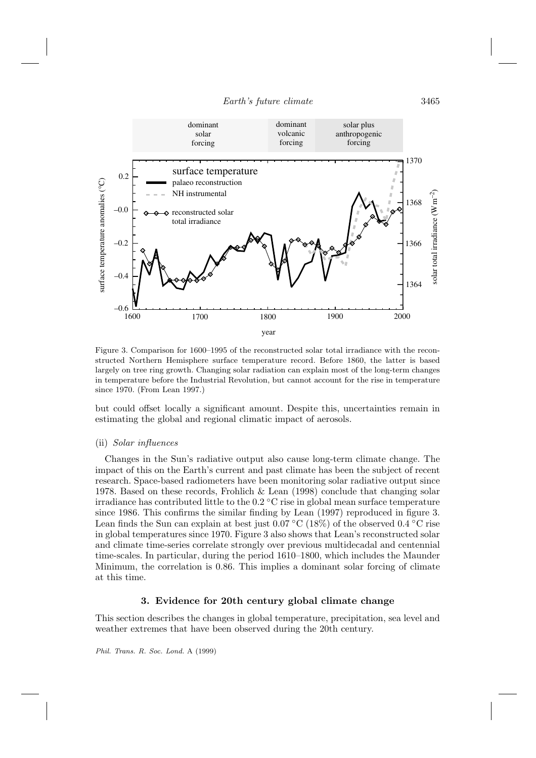

Figure 3. Comparison for 1600–1995 of the reconstructed solar total irradiance with the reconstructed Northern Hemisphere surface temperature record. Before 1860, the latter is based largely on tree ring growth. Changing solar radiation can explain most of the long-term changes in temperature before the Industrial Revolution, but cannot account for the rise in temperature since 1970. (From Lean 1997.)

but could offset locally a significant amount. Despite this, uncertainties remain in estimating the global and regional climatic impact of aerosols.

## (ii) Solar influences

Changes in the Sun's radiative output also cause long-term climate change. The impact of this on the Earth's current and past climate has been the subject of recent research. Space-based radiometers have been monitoring solar radiative output since 1978. Based on these records, Frohlich & Lean (1998) conclude that changing solar irradiance has contributed little to the  $0.2 \degree$ C rise in global mean surface temperature since 1986. This confirms the similar finding by Lean (1997) reproduced in figure 3. Lean finds the Sun can explain at best just  $0.07 \degree$ C (18%) of the observed  $0.4 \degree$ C rise in global temperatures since 1970. Figure 3 also shows that Lean's reconstructed solar and climate time-series correlate strongly over previous multidecadal and centennial time-scales. In particular, during the period 1610–1800, which includes the Maunder Minimum, the correlation is 0.86. This implies a dominant solar forcing of climate at this time.

## **3. Evidence for 20th century global climate change**

This section describes the changes in global temperature, precipitation, sea level and weather extremes that have been observed during the 20th century.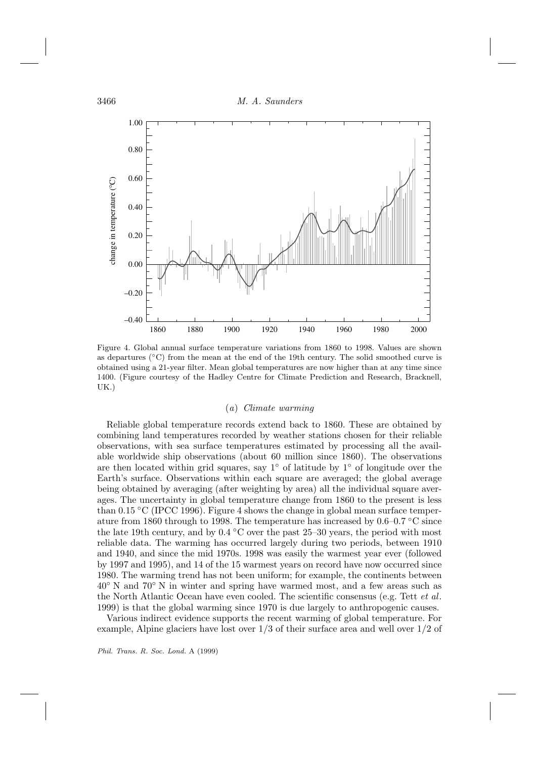

Figure 4. Global annual surface temperature variations from 1860 to 1998. Values are shown as departures (◦C) from the mean at the end of the 19th century. The solid smoothed curve is obtained using a 21-year filter. Mean global temperatures are now higher than at any time since 1400. (Figure courtesy of the Hadley Centre for Climate Prediction and Research, Bracknell, UK.)

## (a) Climate warming

Reliable global temperature records extend back to 1860. These are obtained by combining land temperatures recorded by weather stations chosen for their reliable observations, with sea surface temperatures estimated by processing all the available worldwide ship observations (about 60 million since 1860). The observations are then located within grid squares, say  $1°$  of latitude by  $1°$  of longitude over the Earth's surface. Observations within each square are averaged; the global average being obtained by averaging (after weighting by area) all the individual square averages. The uncertainty in global temperature change from 1860 to the present is less than 0.15  $\rm{°C}$  (IPCC 1996). Figure 4 shows the change in global mean surface temperature from 1860 through to 1998. The temperature has increased by  $0.6-0.7 \degree$ C since the late 19th century, and by  $0.4 \text{ °C}$  over the past 25–30 years, the period with most reliable data. The warming has occurred largely during two periods, between 1910 and 1940, and since the mid 1970s. 1998 was easily the warmest year ever (followed by 1997 and 1995), and 14 of the 15 warmest years on record have now occurred since 1980. The warming trend has not been uniform; for example, the continents between  $40°$  N and  $70°$  N in winter and spring have warmed most, and a few areas such as the North Atlantic Ocean have even cooled. The scientific consensus (e.g. Tett et al. 1999) is that the global warming since 1970 is due largely to anthropogenic causes.

Various indirect evidence supports the recent warming of global temperature. For example, Alpine glaciers have lost over  $1/3$  of their surface area and well over  $1/2$  of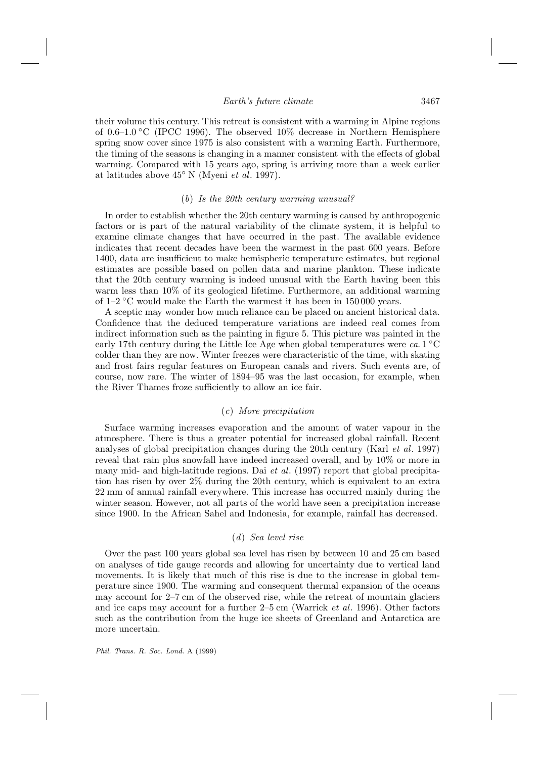#### Earth's future climate 3467

their volume this century. This retreat is consistent with a warming in Alpine regions of 0.6–1.0 ◦C (IPCC 1996). The observed 10% decrease in Northern Hemisphere spring snow cover since 1975 is also consistent with a warming Earth. Furthermore, the timing of the seasons is changing in a manner consistent with the effects of global warming. Compared with 15 years ago, spring is arriving more than a week earlier at latitudes above 45◦ N (Myeni et al. 1997).

## (b) Is the 20th century warming unusual?

In order to establish whether the 20th century warming is caused by anthropogenic factors or is part of the natural variability of the climate system, it is helpful to examine climate changes that have occurred in the past. The available evidence indicates that recent decades have been the warmest in the past 600 years. Before 1400, data are insufficient to make hemispheric temperature estimates, but regional estimates are possible based on pollen data and marine plankton. These indicate that the 20th century warming is indeed unusual with the Earth having been this warm less than 10% of its geological lifetime. Furthermore, an additional warming of  $1-2$  °C would make the Earth the warmest it has been in  $150000$  years.

A sceptic may wonder how much reliance can be placed on ancient historical data. Confidence that the deduced temperature variations are indeed real comes from indirect information such as the painting in figure 5. This picture was painted in the early 17th century during the Little Ice Age when global temperatures were ca.  $1 \textdegree C$ colder than they are now. Winter freezes were characteristic of the time, with skating and frost fairs regular features on European canals and rivers. Such events are, of course, now rare. The winter of 1894–95 was the last occasion, for example, when the River Thames froze sufficiently to allow an ice fair.

## (c) More precipitation

Surface warming increases evaporation and the amount of water vapour in the atmosphere. There is thus a greater potential for increased global rainfall. Recent analyses of global precipitation changes during the 20th century (Karl et al. 1997) reveal that rain plus snowfall have indeed increased overall, and by 10% or more in many mid- and high-latitude regions. Dai et al. (1997) report that global precipitation has risen by over 2% during the 20th century, which is equivalent to an extra 22 mm of annual rainfall everywhere. This increase has occurred mainly during the winter season. However, not all parts of the world have seen a precipitation increase since 1900. In the African Sahel and Indonesia, for example, rainfall has decreased.

## (d) Sea level rise

Over the past 100 years global sea level has risen by between 10 and 25 cm based on analyses of tide gauge records and allowing for uncertainty due to vertical land movements. It is likely that much of this rise is due to the increase in global temperature since 1900. The warming and consequent thermal expansion of the oceans may account for 2–7 cm of the observed rise, while the retreat of mountain glaciers and ice caps may account for a further 2–5 cm (Warrick et al. 1996). Other factors such as the contribution from the huge ice sheets of Greenland and Antarctica are more uncertain.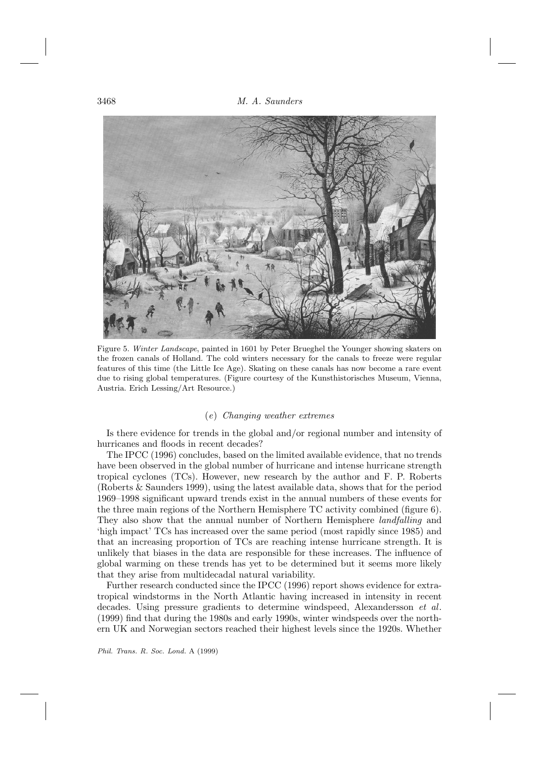

Figure 5. Winter Landscape, painted in 1601 by Peter Brueghel the Younger showing skaters on the frozen canals of Holland. The cold winters necessary for the canals to freeze were regular features of this time (the Little Ice Age). Skating on these canals has now become a rare event due to rising global temperatures. (Figure courtesy of the Kunsthistorisches Museum, Vienna, Austria. Erich Lessing/Art Resource.)

## (e) Changing weather extremes

Is there evidence for trends in the global and/or regional number and intensity of hurricanes and floods in recent decades?

The IPCC (1996) concludes, based on the limited available evidence, that no trends have been observed in the global number of hurricane and intense hurricane strength tropical cyclones (TCs). However, new research by the author and F. P. Roberts (Roberts & Saunders 1999), using the latest available data, shows that for the period 1969–1998 significant upward trends exist in the annual numbers of these events for the three main regions of the Northern Hemisphere TC activity combined (figure 6). They also show that the annual number of Northern Hemisphere landfalling and 'high impact' TCs has increased over the same period (most rapidly since 1985) and that an increasing proportion of TCs are reaching intense hurricane strength. It is unlikely that biases in the data are responsible for these increases. The influence of global warming on these trends has yet to be determined but it seems more likely that they arise from multidecadal natural variability.

Further research conducted since the IPCC (1996) report shows evidence for extratropical windstorms in the North Atlantic having increased in intensity in recent decades. Using pressure gradients to determine windspeed, Alexandersson et al. (1999) find that during the 1980s and early 1990s, winter windspeeds over the northern UK and Norwegian sectors reached their highest levels since the 1920s. Whether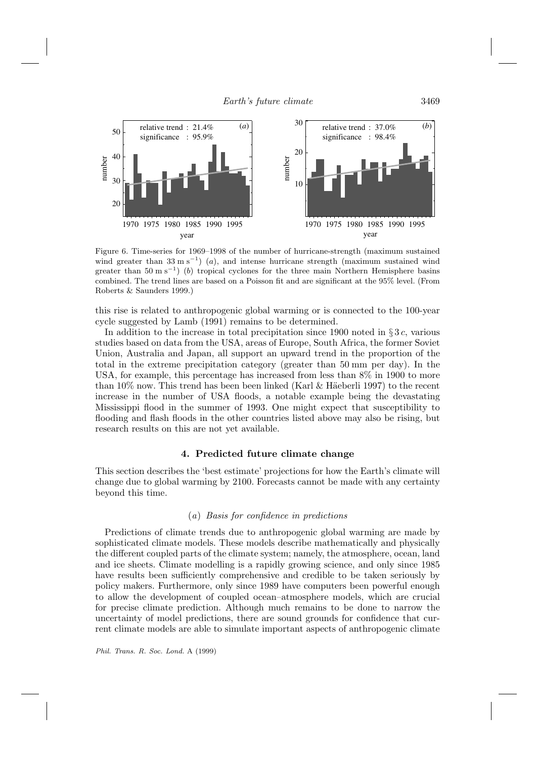

Figure 6. Time-series for 1969–1998 of the number of hurricane-strength (maximum sustained wind greater than 33 m s<sup>−1</sup>) (a), and intense hurricane strength (maximum sustained wind greater than 50 m s<sup>−1</sup>) (b) tropical cyclones for the three main Northern Hemisphere basins combined. The trend lines are based on a Poisson fit and are significant at the 95% level. (From Roberts & Saunders 1999.)

this rise is related to anthropogenic global warming or is connected to the 100-year cycle suggested by Lamb (1991) remains to be determined.

In addition to the increase in total precipitation since 1900 noted in  $\S 3c$ , various studies based on data from the USA, areas of Europe, South Africa, the former Soviet Union, Australia and Japan, all support an upward trend in the proportion of the total in the extreme precipitation category (greater than 50 mm per day). In the USA, for example, this percentage has increased from less than 8% in 1900 to more than  $10\%$  now. This trend has been been linked (Karl & Häeberli 1997) to the recent increase in the number of USA floods, a notable example being the devastating Mississippi flood in the summer of 1993. One might expect that susceptibility to flooding and flash floods in the other countries listed above may also be rising, but research results on this are not yet available.

## **4. Predicted future climate change**

This section describes the 'best estimate' projections for how the Earth's climate will change due to global warming by 2100. Forecasts cannot be made with any certainty beyond this time.

## (a) Basis for confidence in predictions

Predictions of climate trends due to anthropogenic global warming are made by sophisticated climate models. These models describe mathematically and physically the different coupled parts of the climate system; namely, the atmosphere, ocean, land and ice sheets. Climate modelling is a rapidly growing science, and only since 1985 have results been sufficiently comprehensive and credible to be taken seriously by policy makers. Furthermore, only since 1989 have computers been powerful enough to allow the development of coupled ocean–atmosphere models, which are crucial for precise climate prediction. Although much remains to be done to narrow the uncertainty of model predictions, there are sound grounds for confidence that current climate models are able to simulate important aspects of anthropogenic climate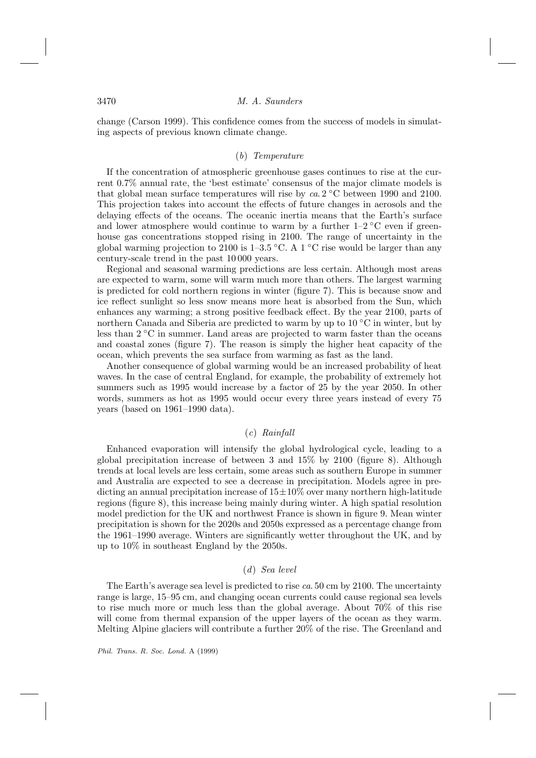change (Carson 1999). This confidence comes from the success of models in simulating aspects of previous known climate change.

## (b) Temperature

If the concentration of atmospheric greenhouse gases continues to rise at the current 0.7% annual rate, the 'best estimate' consensus of the major climate models is that global mean surface temperatures will rise by  $ca. 2 \degree$ C between 1990 and 2100. This projection takes into account the effects of future changes in aerosols and the delaying effects of the oceans. The oceanic inertia means that the Earth's surface and lower atmosphere would continue to warm by a further  $1-2 \degree C$  even if greenhouse gas concentrations stopped rising in 2100. The range of uncertainty in the global warming projection to 2100 is  $1-3.5\,^{\circ}\text{C}$ . A 1 °C rise would be larger than any century-scale trend in the past 10 000 years.

Regional and seasonal warming predictions are less certain. Although most areas are expected to warm, some will warm much more than others. The largest warming is predicted for cold northern regions in winter (figure 7). This is because snow and ice reflect sunlight so less snow means more heat is absorbed from the Sun, which enhances any warming; a strong positive feedback effect. By the year 2100, parts of northern Canada and Siberia are predicted to warm by up to 10 ◦C in winter, but by less than 2 ◦C in summer. Land areas are projected to warm faster than the oceans and coastal zones (figure 7). The reason is simply the higher heat capacity of the ocean, which prevents the sea surface from warming as fast as the land.

Another consequence of global warming would be an increased probability of heat waves. In the case of central England, for example, the probability of extremely hot summers such as 1995 would increase by a factor of 25 by the year 2050. In other words, summers as hot as 1995 would occur every three years instead of every 75 years (based on 1961–1990 data).

## (c) Rainfall

Enhanced evaporation will intensify the global hydrological cycle, leading to a global precipitation increase of between 3 and 15% by 2100 (figure 8). Although trends at local levels are less certain, some areas such as southern Europe in summer and Australia are expected to see a decrease in precipitation. Models agree in predicting an annual precipitation increase of  $15\pm10\%$  over many northern high-latitude regions (figure 8), this increase being mainly during winter. A high spatial resolution model prediction for the UK and northwest France is shown in figure 9. Mean winter precipitation is shown for the 2020s and 2050s expressed as a percentage change from the 1961–1990 average. Winters are significantly wetter throughout the UK, and by up to 10% in southeast England by the 2050s.

## (d) Sea level

The Earth's average sea level is predicted to rise ca. 50 cm by 2100. The uncertainty range is large, 15–95 cm, and changing ocean currents could cause regional sea levels to rise much more or much less than the global average. About 70% of this rise will come from thermal expansion of the upper layers of the ocean as they warm. Melting Alpine glaciers will contribute a further 20% of the rise. The Greenland and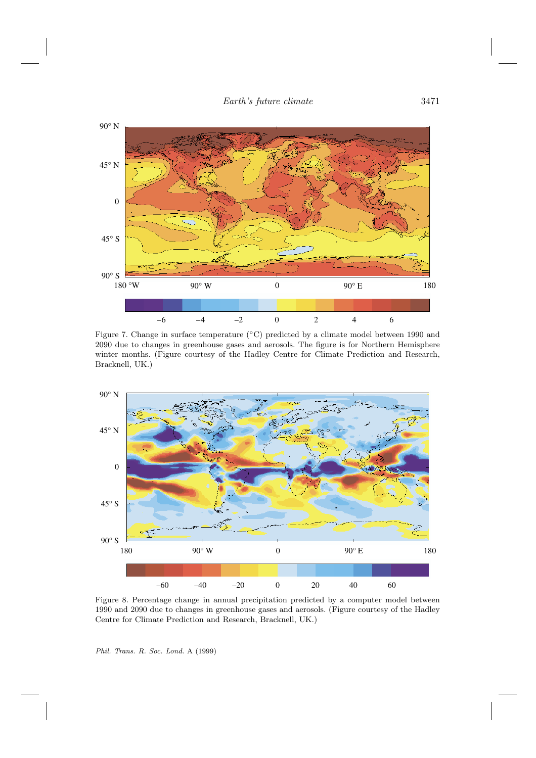

Figure 7. Change in surface temperature (◦C) predicted by a climate model between 1990 and 2090 due to changes in greenhouse gases and aerosols. The figure is for Northern Hemisphere winter months. (Figure courtesy of the Hadley Centre for Climate Prediction and Research, Bracknell, UK.)



Figure 8. Percentage change in annual precipitation predicted by a computer model between 1990 and 2090 due to changes in greenhouse gases and aerosols. (Figure courtesy of the Hadley Centre for Climate Prediction and Research, Bracknell, UK.)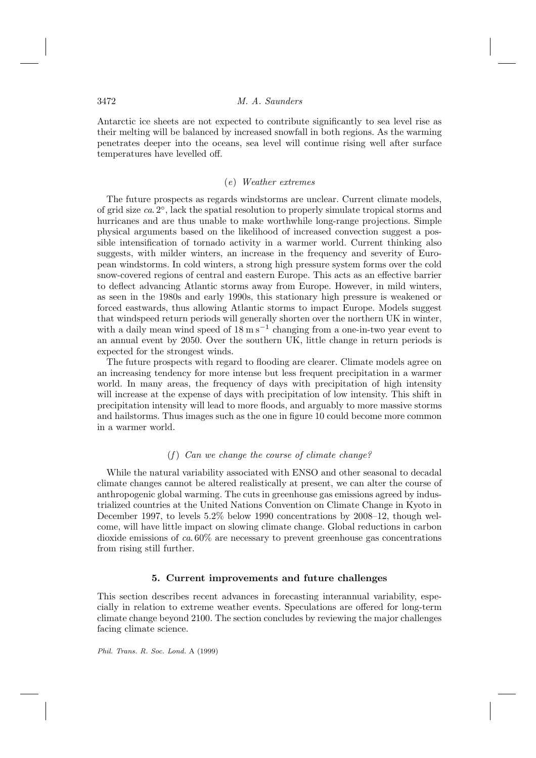Antarctic ice sheets are not expected to contribute significantly to sea level rise as their melting will be balanced by increased snowfall in both regions. As the warming penetrates deeper into the oceans, sea level will continue rising well after surface temperatures have levelled off.

## (e) Weather extremes

The future prospects as regards windstorms are unclear. Current climate models, of grid size  $ca. 2^\circ$ , lack the spatial resolution to properly simulate tropical storms and hurricanes and are thus unable to make worthwhile long-range projections. Simple physical arguments based on the likelihood of increased convection suggest a possible intensification of tornado activity in a warmer world. Current thinking also suggests, with milder winters, an increase in the frequency and severity of European windstorms. In cold winters, a strong high pressure system forms over the cold snow-covered regions of central and eastern Europe. This acts as an effective barrier to deflect advancing Atlantic storms away from Europe. However, in mild winters, as seen in the 1980s and early 1990s, this stationary high pressure is weakened or forced eastwards, thus allowing Atlantic storms to impact Europe. Models suggest that windspeed return periods will generally shorten over the northern UK in winter, with a daily mean wind speed of  $18 \text{ m s}^{-1}$  changing from a one-in-two year event to an annual event by 2050. Over the southern UK, little change in return periods is expected for the strongest winds.

The future prospects with regard to flooding are clearer. Climate models agree on an increasing tendency for more intense but less frequent precipitation in a warmer world. In many areas, the frequency of days with precipitation of high intensity will increase at the expense of days with precipitation of low intensity. This shift in precipitation intensity will lead to more floods, and arguably to more massive storms and hailstorms. Thus images such as the one in figure 10 could become more common in a warmer world.

## $(f)$  Can we change the course of climate change?

While the natural variability associated with ENSO and other seasonal to decadal climate changes cannot be altered realistically at present, we can alter the course of anthropogenic global warming. The cuts in greenhouse gas emissions agreed by industrialized countries at the United Nations Convention on Climate Change in Kyoto in December 1997, to levels 5.2% below 1990 concentrations by 2008–12, though welcome, will have little impact on slowing climate change. Global reductions in carbon dioxide emissions of ca. 60% are necessary to prevent greenhouse gas concentrations from rising still further.

### **5. Current improvements and future challenges**

This section describes recent advances in forecasting interannual variability, especially in relation to extreme weather events. Speculations are offered for long-term climate change beyond 2100. The section concludes by reviewing the major challenges facing climate science.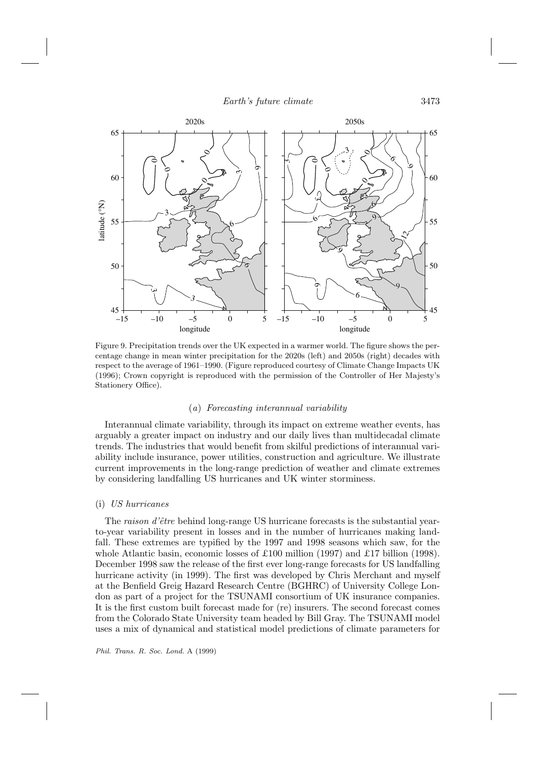

Figure 9. Precipitation trends over the UK expected in a warmer world. The figure shows the percentage change in mean winter precipitation for the 2020s (left) and 2050s (right) decades with respect to the average of 1961–1990. (Figure reproduced courtesy of Climate Change Impacts UK (1996); Crown copyright is reproduced with the permission of the Controller of Her Majesty's Stationery Office).

### (a) Forecasting interannual variability

Interannual climate variability, through its impact on extreme weather events, has arguably a greater impact on industry and our daily lives than multidecadal climate trends. The industries that would benefit from skilful predictions of interannual variability include insurance, power utilities, construction and agriculture. We illustrate current improvements in the long-range prediction of weather and climate extremes by considering landfalling US hurricanes and UK winter storminess.

## (i) US hurricanes

The raison  $d$ 'être behind long-range US hurricane forecasts is the substantial yearto-year variability present in losses and in the number of hurricanes making landfall. These extremes are typified by the 1997 and 1998 seasons which saw, for the whole Atlantic basin, economic losses of £100 million (1997) and £17 billion (1998). December 1998 saw the release of the first ever long-range forecasts for US landfalling hurricane activity (in 1999). The first was developed by Chris Merchant and myself at the Benfield Greig Hazard Research Centre (BGHRC) of University College London as part of a project for the TSUNAMI consortium of UK insurance companies. It is the first custom built forecast made for (re) insurers. The second forecast comes from the Colorado State University team headed by Bill Gray. The TSUNAMI model uses a mix of dynamical and statistical model predictions of climate parameters for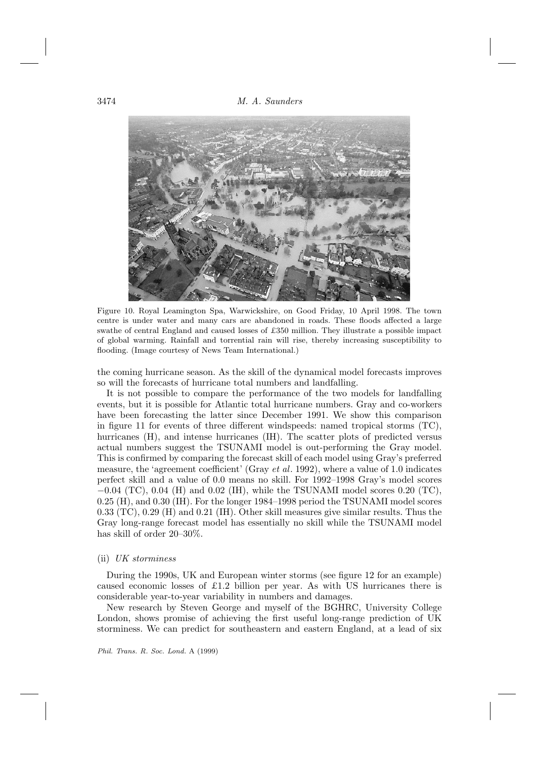

Figure 10. Royal Leamington Spa, Warwickshire, on Good Friday, 10 April 1998. The town centre is under water and many cars are abandoned in roads. These floods affected a large swathe of central England and caused losses of £350 million. They illustrate a possible impact of global warming. Rainfall and torrential rain will rise, thereby increasing susceptibility to flooding. (Image courtesy of News Team International.)

the coming hurricane season. As the skill of the dynamical model forecasts improves so will the forecasts of hurricane total numbers and landfalling.

It is not possible to compare the performance of the two models for landfalling events, but it is possible for Atlantic total hurricane numbers. Gray and co-workers have been forecasting the latter since December 1991. We show this comparison in figure 11 for events of three different windspeeds: named tropical storms (TC), hurricanes (H), and intense hurricanes (IH). The scatter plots of predicted versus actual numbers suggest the TSUNAMI model is out-performing the Gray model. This is confirmed by comparing the forecast skill of each model using Gray's preferred measure, the 'agreement coefficient' (Gray *et al.* 1992), where a value of 1.0 indicates perfect skill and a value of 0.0 means no skill. For 1992–1998 Gray's model scores  $-0.04$  (TC), 0.04 (H) and 0.02 (IH), while the TSUNAMI model scores 0.20 (TC), 0.25 (H), and 0.30 (IH). For the longer 1984–1998 period the TSUNAMI model scores 0.33 (TC), 0.29 (H) and 0.21 (IH). Other skill measures give similar results. Thus the Gray long-range forecast model has essentially no skill while the TSUNAMI model has skill of order 20–30%.

## (ii) UK storminess

During the 1990s, UK and European winter storms (see figure 12 for an example) caused economic losses of £1.2 billion per year. As with US hurricanes there is considerable year-to-year variability in numbers and damages.

New research by Steven George and myself of the BGHRC, University College London, shows promise of achieving the first useful long-range prediction of UK storminess. We can predict for southeastern and eastern England, at a lead of six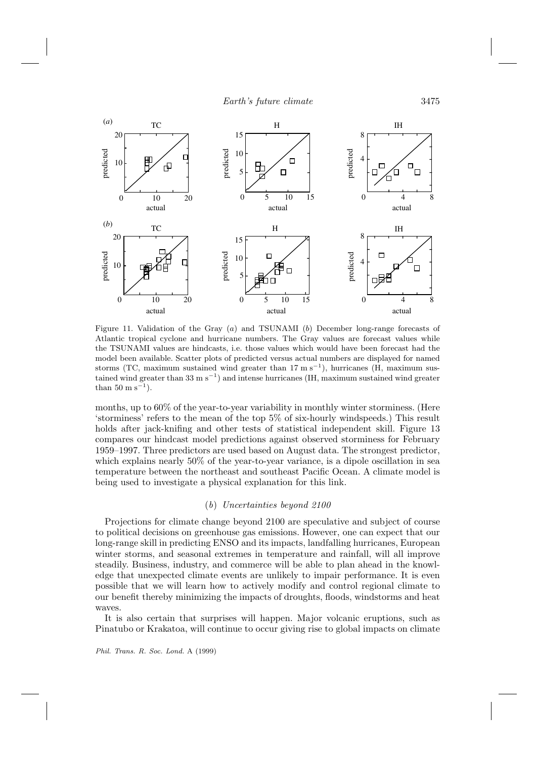Earth's future climate 3475



Figure 11. Validation of the Gray (a) and TSUNAMI (b) December long-range forecasts of Atlantic tropical cyclone and hurricane numbers. The Gray values are forecast values while the TSUNAMI values are hindcasts, i.e. those values which would have been forecast had the model been available. Scatter plots of predicted versus actual numbers are displayed for named storms (TC, maximum sustained wind greater than  $17 \text{ m s}^{-1}$ ), hurricanes (H, maximum sustained wind greater than 33 m s−<sup>1</sup>) and intense hurricanes (IH, maximum sustained wind greater than 50 m s<sup> $-1$ </sup>).

months, up to 60% of the year-to-year variability in monthly winter storminess. (Here 'storminess' refers to the mean of the top 5% of six-hourly windspeeds.) This result holds after jack-knifing and other tests of statistical independent skill. Figure 13 compares our hindcast model predictions against observed storminess for February 1959–1997. Three predictors are used based on August data. The strongest predictor, which explains nearly 50% of the year-to-year variance, is a dipole oscillation in sea temperature between the northeast and southeast Pacific Ocean. A climate model is being used to investigate a physical explanation for this link.

## (b) Uncertainties beyond 2100

Projections for climate change beyond 2100 are speculative and subject of course to political decisions on greenhouse gas emissions. However, one can expect that our long-range skill in predicting ENSO and its impacts, landfalling hurricanes, European winter storms, and seasonal extremes in temperature and rainfall, will all improve steadily. Business, industry, and commerce will be able to plan ahead in the knowledge that unexpected climate events are unlikely to impair performance. It is even possible that we will learn how to actively modify and control regional climate to our benefit thereby minimizing the impacts of droughts, floods, windstorms and heat waves.

It is also certain that surprises will happen. Major volcanic eruptions, such as Pinatubo or Krakatoa, will continue to occur giving rise to global impacts on climate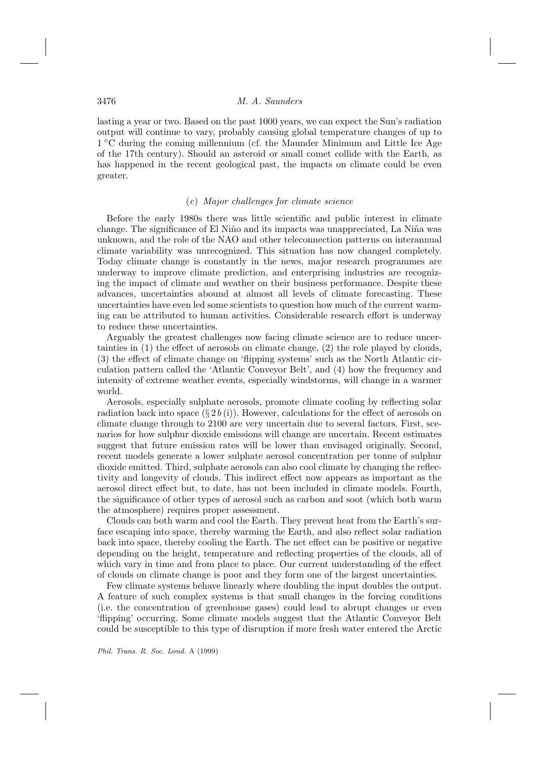lasting a year or two. Based on the past 1000 years, we can expect the Sun's radiation output will continue to vary, probably causing global temperature changes of up to 1 ◦C during the coming millennium (cf. the Maunder Minimum and Little Ice Age of the 17th century). Should an asteroid or small comet collide with the Earth, as has happened in the recent geological past, the impacts on climate could be even greater.

## (c) Major challenges for climate science

Before the early 1980s there was little scientific and public interest in climate change. The significance of El Niño and its impacts was unappreciated, La Niña was unknown, and the role of the NAO and other teleconnection patterns on interannual climate variability was unrecognized. This situation has now changed completely. Today climate change is constantly in the news, major research programmes are underway to improve climate prediction, and enterprising industries are recognizing the impact of climate and weather on their business performance. Despite these advances, uncertainties abound at almost all levels of climate forecasting. These uncertainties have even led some scientists to question how much of the current warming can be attributed to human activities. Considerable research effort is underway to reduce these uncertainties.

Arguably the greatest challenges now facing climate science are to reduce uncertainties in (1) the effect of aerosols on climate change, (2) the role played by clouds, (3) the effect of climate change on 'flipping systems' such as the North Atlantic circulation pattern called the 'Atlantic Conveyor Belt', and (4) how the frequency and intensity of extreme weather events, especially windstorms, will change in a warmer world.

Aerosols, especially sulphate aerosols, promote climate cooling by reflecting solar radiation back into space  $(\S 2 b(i))$ . However, calculations for the effect of aerosols on climate change through to 2100 are very uncertain due to several factors. First, scenarios for how sulphur dioxide emissions will change are uncertain. Recent estimates suggest that future emission rates will be lower than envisaged originally. Second, recent models generate a lower sulphate aerosol concentration per tonne of sulphur dioxide emitted. Third, sulphate aerosols can also cool climate by changing the reflectivity and longevity of clouds. This indirect effect now appears as important as the aerosol direct effect but, to date, has not been included in climate models. Fourth, the significance of other types of aerosol such as carbon and soot (which both warm the atmosphere) requires proper assessment.

Clouds can both warm and cool the Earth. They prevent heat from the Earth's surface escaping into space, thereby warming the Earth, and also reflect solar radiation back into space, thereby cooling the Earth. The net effect can be positive or negative depending on the height, temperature and reflecting properties of the clouds, all of which vary in time and from place to place. Our current understanding of the effect of clouds on climate change is poor and they form one of the largest uncertainties.

Few climate systems behave linearly where doubling the input doubles the output. A feature of such complex systems is that small changes in the forcing conditions (i.e. the concentration of greenhouse gases) could lead to abrupt changes or even 'flipping' occurring. Some climate models suggest that the Atlantic Conveyor Belt could be susceptible to this type of disruption if more fresh water entered the Arctic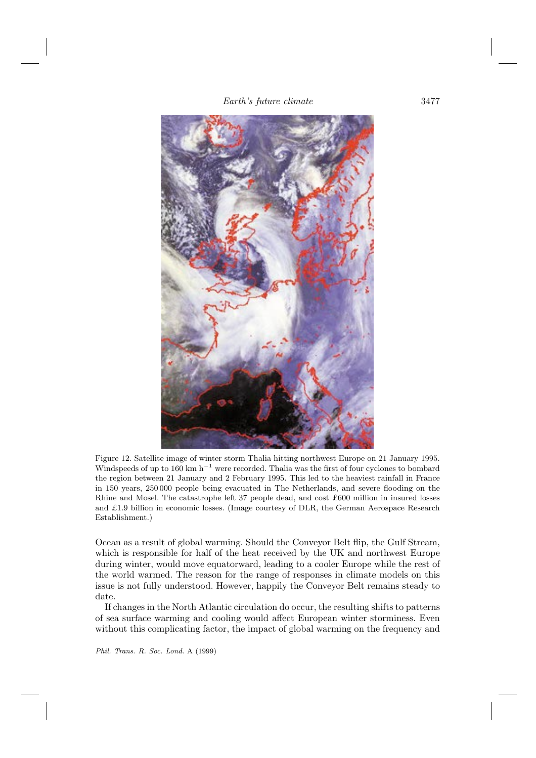

Figure 12. Satellite image of winter storm Thalia hitting northwest Europe on 21 January 1995. Windspeeds of up to 160 km h<sup>-1</sup> were recorded. Thalia was the first of four cyclones to bombard the region between 21January and 2 February 1995. This led to the heaviest rainfall in France in 150 years, 250 000 people being evacuated in The Netherlands, and severe flooding on the Rhine and Mosel. The catastrophe left 37 people dead, and cost £600 million in insured losses and £1.9 billion in economic losses. (Image courtesy of DLR, the German Aerospace Research Establishment.)

Ocean as a result of global warming. Should the Conveyor Belt flip, the Gulf Stream, which is responsible for half of the heat received by the UK and northwest Europe during winter, would move equatorward, leading to a cooler Europe while the rest of the world warmed. The reason for the range of responses in climate models on this issue is not fully understood. However, happily the Conveyor Belt remains steady to date.

If changes in the North Atlantic circulation do occur, the resulting shifts to patterns of sea surface warming and cooling would affect European winter storminess. Even without this complicating factor, the impact of global warming on the frequency and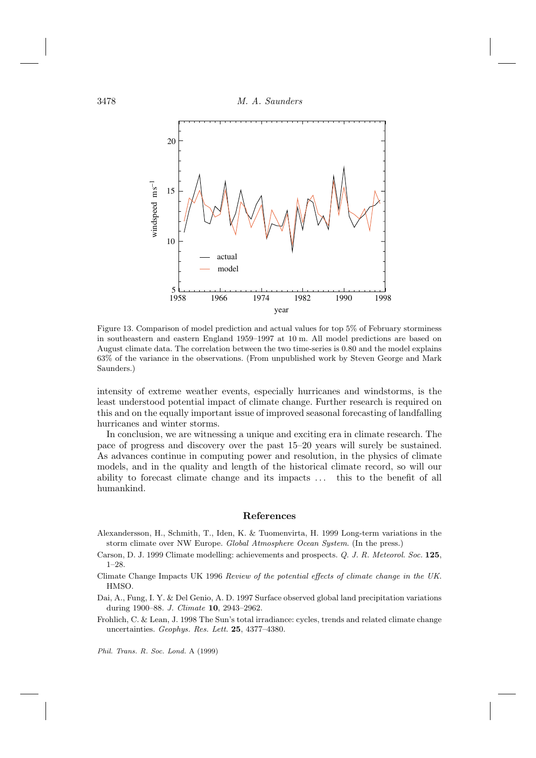

Figure 13. Comparison of model prediction and actual values for top 5% of February storminess in southeastern and eastern England 1959–1997 at 10 m. All model predictions are based on August climate data. The correlation between the two time-series is 0.80 and the model explains 63% of the variance in the observations. (From unpublished work by Steven George and Mark Saunders.)

intensity of extreme weather events, especially hurricanes and windstorms, is the least understood potential impact of climate change. Further research is required on this and on the equally important issue of improved seasonal forecasting of landfalling hurricanes and winter storms.

In conclusion, we are witnessing a unique and exciting era in climate research. The pace of progress and discovery over the past 15–20 years will surely be sustained. As advances continue in computing power and resolution, in the physics of climate models, and in the quality and length of the historical climate record, so will our ability to forecast climate change and its impacts ... this to the benefit of all humankind.

## **References**

- Alexandersson, H., Schmith, T., Iden, K. & Tuomenvirta, H. 1999 Long-term variations in the storm climate over NW Europe. Global Atmosphere Ocean System. (In the press.)
- Carson, D. J. 1999 Climate modelling: achievements and prospects. Q. J. R. Meteorol. Soc. **125**, 1–28.
- Climate Change Impacts UK 1996 Review of the potential effects of climate change in the UK. HMSO.
- Dai, A., Fung, I. Y. & Del Genio, A. D. 1997 Surface observed global land precipitation variations during 1900–88. J. Climate **10**, 2943–2962.
- Frohlich, C. & Lean, J. 1998 The Sun's total irradiance: cycles, trends and related climate change uncertainties. Geophys. Res. Lett. **25**, 4377–4380.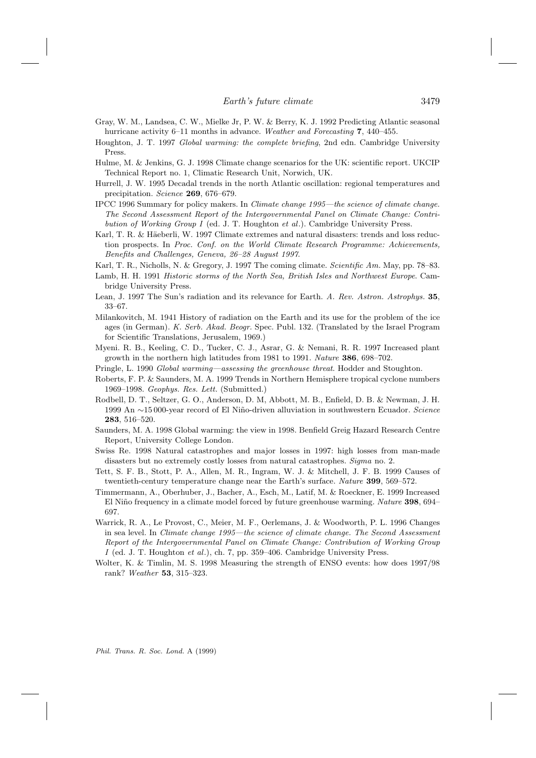- Gray, W. M., Landsea, C. W., Mielke Jr, P. W. & Berry, K. J. 1992 Predicting Atlantic seasonal hurricane activity 6–11 months in advance. Weather and Forecasting **7**, 440–455.
- Houghton, J. T. 1997 Global warming: the complete briefing, 2nd edn. Cambridge University Press.
- Hulme, M. & Jenkins, G. J. 1998 Climate change scenarios for the UK: scientific report. UKCIP Technical Report no. 1, Climatic Research Unit, Norwich, UK.
- Hurrell, J. W. 1995 Decadal trends in the north Atlantic oscillation: regional temperatures and precipitation. Science **269**, 676–679.
- IPCC 1996 Summary for policy makers. In Climate change 1995—the science of climate change. The Second Assessment Report of the Intergovernmental Panel on Climate Change: Contribution of Working Group I (ed. J. T. Houghton et al.). Cambridge University Press.
- Karl, T. R. & Häeberli, W. 1997 Climate extremes and natural disasters: trends and loss reduction prospects. In Proc. Conf. on the World Climate Research Programme: Achievements, Benefits and Challenges, Geneva, 26–28 August 1997.
- Karl, T. R., Nicholls, N. & Gregory, J. 1997 The coming climate. Scientific Am. May, pp. 78–83.
- Lamb, H. H. 1991 Historic storms of the North Sea, British Isles and Northwest Europe. Cambridge University Press.
- Lean, J. 1997 The Sun's radiation and its relevance for Earth. A. Rev. Astron. Astrophys. **35**, 33–67.
- Milankovitch, M. 1941 History of radiation on the Earth and its use for the problem of the ice ages (in German). K. Serb. Akad. Beogr. Spec. Publ. 132. (Translated by the Israel Program for Scientific Translations, Jerusalem, 1969.)
- Myeni. R. B., Keeling, C. D., Tucker, C. J., Asrar, G. & Nemani, R. R. 1997 Increased plant growth in the northern high latitudes from 1981 to 1991. Nature **386**, 698–702.
- Pringle, L. 1990 Global warming—assessing the greenhouse threat. Hodder and Stoughton.
- Roberts, F. P. & Saunders, M. A. 1999 Trends in Northern Hemisphere tropical cyclone numbers 1969–1998. Geophys. Res. Lett. (Submitted.)
- Rodbell, D. T., Seltzer, G. O., Anderson, D. M, Abbott, M. B., Enfield, D. B. & Newman, J. H. 1999 An ∼15 000-year record of El Niño-driven alluviation in southwestern Ecuador. Science **283**, 516–520.
- Saunders, M. A. 1998 Global warming: the view in 1998. Benfield Greig Hazard Research Centre Report, University College London.
- Swiss Re. 1998 Natural catastrophes and major losses in 1997: high losses from man-made disasters but no extremely costly losses from natural catastrophes. Sigma no. 2.
- Tett, S. F. B., Stott, P. A., Allen, M. R., Ingram, W. J. & Mitchell, J. F. B. 1999 Causes of twentieth-century temperature change near the Earth's surface. Nature **399**, 569–572.
- Timmermann, A., Oberhuber, J., Bacher, A., Esch, M., Latif, M. & Roeckner, E. 1999 Increased El Niño frequency in a climate model forced by future greenhouse warming. Nature **398**, 694– 697.
- Warrick, R. A., Le Provost, C., Meier, M. F., Oerlemans, J. & Woodworth, P. L. 1996 Changes in sea level. In Climate change 1995—the science of climate change. The Second Assessment Report of the Intergovernmental Panel on Climate Change: Contribution of Working Group I (ed. J. T. Houghton et al.), ch. 7, pp. 359–406. Cambridge University Press.
- Wolter, K. & Timlin, M. S. 1998 Measuring the strength of ENSO events: how does 1997/98 rank? Weather **53**, 315–323.